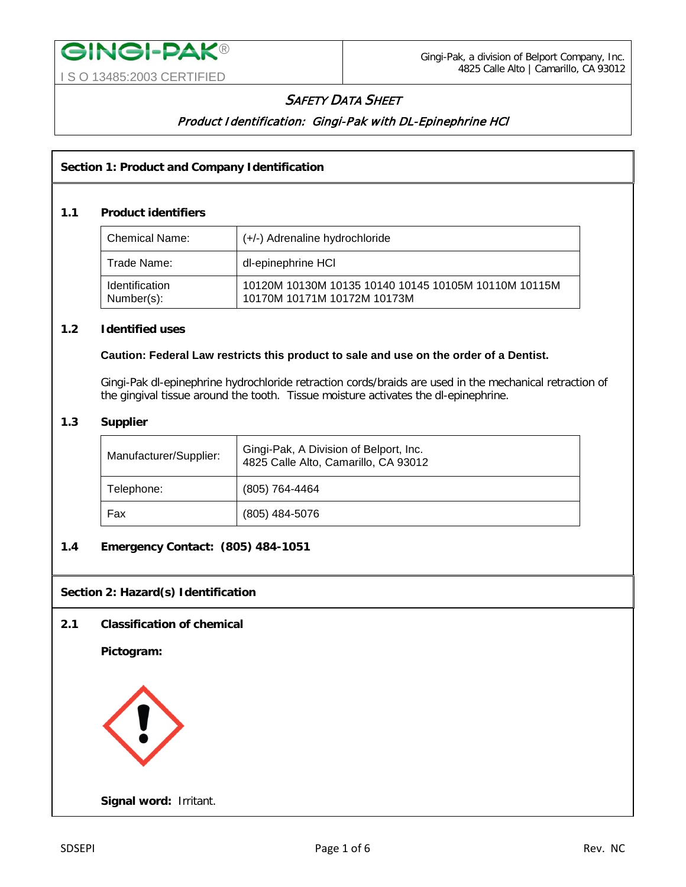# **SAFETY DATA SHEET**

# Product Identification: Gingi-Pak with DL-Epinephrine HCl

# **Section 1: Product and Company Identification**

## **1.1 Product identifiers**

| <b>Chemical Name:</b>               | (+/-) Adrenaline hydrochloride                                                      |
|-------------------------------------|-------------------------------------------------------------------------------------|
| Trade Name:                         | dl-epinephrine HCI                                                                  |
| <b>Identification</b><br>Number(s): | 10120M 10130M 10135 10140 10145 10105M 10110M 10115M<br>10170M 10171M 10172M 10173M |

## **1.2 Identified uses**

#### **Caution: Federal Law restricts this product to sale and use on the order of a Dentist.**

Gingi-Pak dl-epinephrine hydrochloride retraction cords/braids are used in the mechanical retraction of the gingival tissue around the tooth. Tissue moisture activates the dl-epinephrine.

# **1.3 Supplier**

| Manufacturer/Supplier: | Gingi-Pak, A Division of Belport, Inc.<br>4825 Calle Alto, Camarillo, CA 93012 |
|------------------------|--------------------------------------------------------------------------------|
| Telephone:             | (805) 764-4464                                                                 |
| Fax                    | $(805)$ 484-5076                                                               |

## **1.4 Emergency Contact: (805) 484-1051**

## **Section 2: Hazard(s) Identification**

## **2.1 Classification of chemical**

**Pictogram:** 



**Signal word:** Irritant.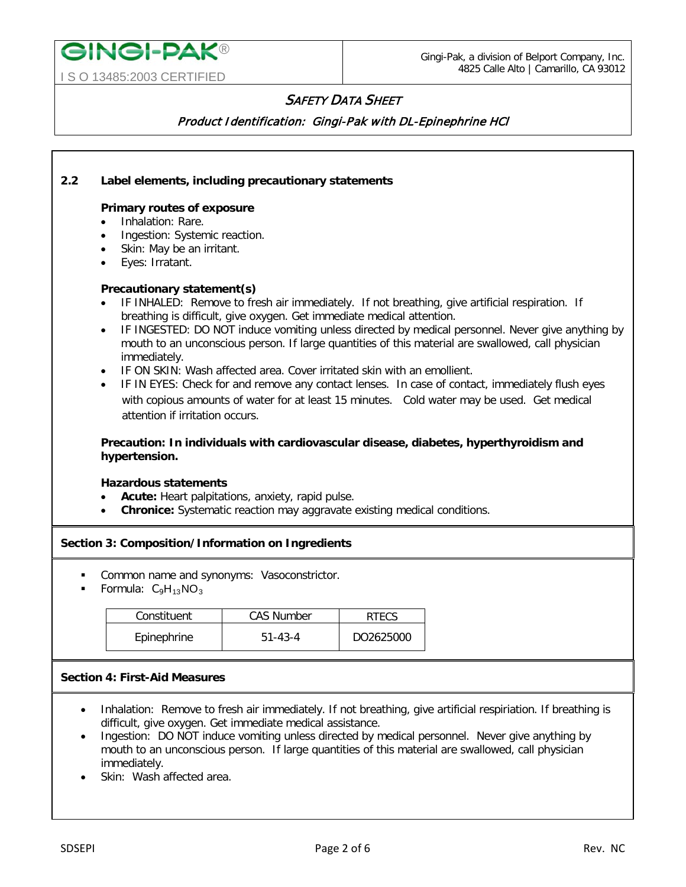# **SAFETY DATA SHEET**

Product Identification: Gingi-Pak with DL-Epinephrine HCl

## **2.2 Label elements, including precautionary statements**

#### **Primary routes of exposure**

• Inhalation: Rare.

**GINGI-PAK®** 

I S O 13485:2003 CERTIFIED

- Ingestion: Systemic reaction.
- Skin: May be an irritant.
- Eyes: Irratant.

#### **Precautionary statement(s)**

- IF INHALED: Remove to fresh air immediately. If not breathing, give artificial respiration. If breathing is difficult, give oxygen. Get immediate medical attention.
- IF INGESTED: DO NOT induce vomiting unless directed by medical personnel. Never give anything by mouth to an unconscious person. If large quantities of this material are swallowed, call physician immediately.
- IF ON SKIN: Wash affected area. Cover irritated skin with an emollient.
- IF IN EYES: Check for and remove any contact lenses. In case of contact, immediately flush eyes with copious amounts of water for at least 15 minutes. Cold water may be used. Get medical attention if irritation occurs.

## **Precaution: In individuals with cardiovascular disease, diabetes, hyperthyroidism and hypertension.**

#### **Hazardous statements**

- Acute: Heart palpitations, anxiety, rapid pulse.
- **Chronice:** Systematic reaction may aggravate existing medical conditions.

## **Section 3: Composition/Information on Ingredients**

- Common name and synonyms: Vasoconstrictor.
- Formula:  $C_9H_{13}NO_3$

| Constituent | <b>CAS Number</b> | RTFCS     |
|-------------|-------------------|-----------|
| Epinephrine | $51 - 43 - 4$     | DO2625000 |

#### **Section 4: First-Aid Measures**

- Inhalation: Remove to fresh air immediately. If not breathing, give artificial respiriation. If breathing is difficult, give oxygen. Get immediate medical assistance.
- Ingestion: DO NOT induce vomiting unless directed by medical personnel. Never give anything by mouth to an unconscious person. If large quantities of this material are swallowed, call physician immediately.
- Skin: Wash affected area.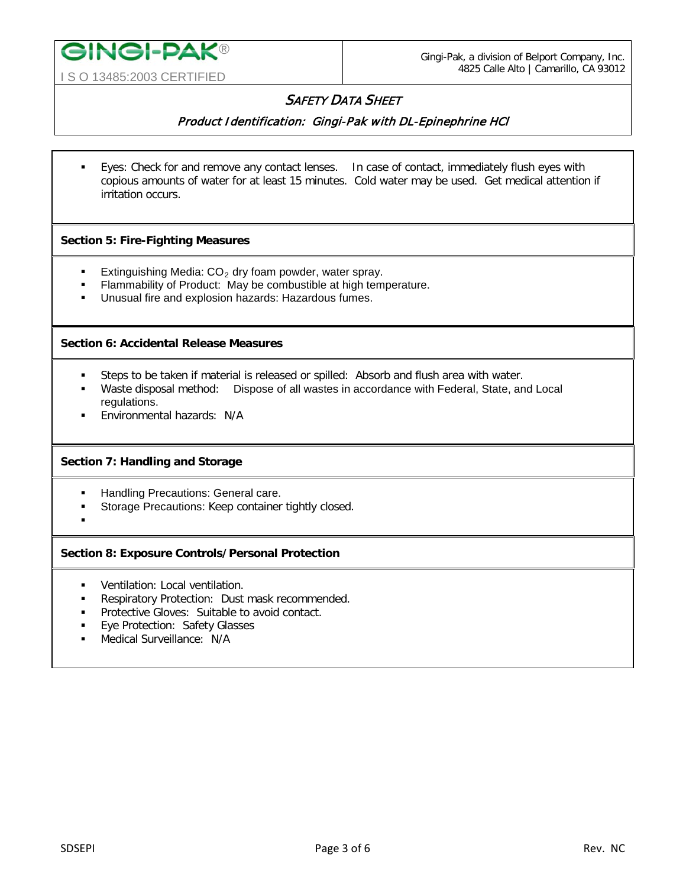

# **SAFETY DATA SHEET**

Product Identification: Gingi-Pak with DL-Epinephrine HCl

 Eyes: Check for and remove any contact lenses. In case of contact, immediately flush eyes with copious amounts of water for at least 15 minutes. Cold water may be used. Get medical attention if irritation occurs.

# **Section 5: Fire-Fighting Measures**

- Extinguishing Media:  $CO<sub>2</sub>$  dry foam powder, water spray.
- **Flammability of Product: May be combustible at high temperature.**
- Unusual fire and explosion hazards: Hazardous fumes.

## **Section 6: Accidental Release Measures**

- Steps to be taken if material is released or spilled: Absorb and flush area with water.
- Waste disposal method: Dispose of all wastes in accordance with Federal, State, and Local regulations.
- **Environmental hazards: N/A**

# **Section 7: Handling and Storage**

- **Handling Precautions: General care.**
- **Storage Precautions: Keep container tightly closed.**
- :

# **Section 8: Exposure Controls/Personal Protection**

- **•** Ventilation: Local ventilation.
- **Respiratory Protection: Dust mask recommended.**
- **Protective Gloves: Suitable to avoid contact.**
- **Eye Protection: Safety Glasses**
- Medical Surveillance: N/A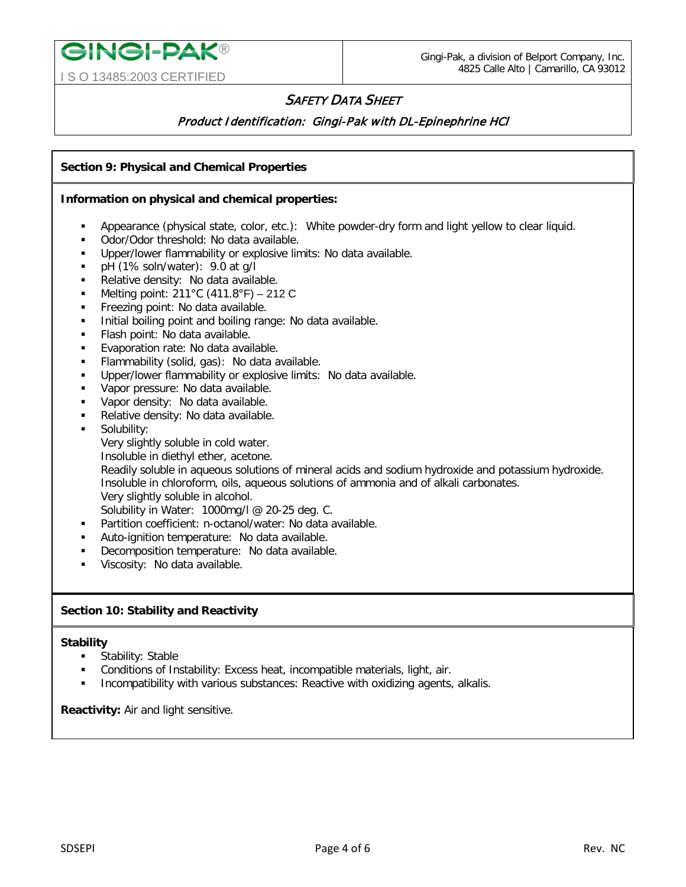# I S O 13485:2003 CERTIFIED

**GINGI-PAK®** 

# **SAFETY DATA SHEET**

# Product Identification: Gingi-Pak with DL-Epinephrine HCl

## **Section 9: Physical and Chemical Properties**

#### **Information on physical and chemical properties:**

- Appearance (physical state, color, etc.): White powder-dry form and light yellow to clear liquid.
- Odor/Odor threshold: No data available.
- Upper/lower flammability or explosive limits: No data available.
- pH (1% soln/water): 9.0 at g/l
- Relative density: No data available.
- **Melting point: 211 °C (411.8 °F)** 212 C
- Freezing point: No data available.
- Initial boiling point and boiling range: No data available.
- Flash point: No data available.
- **Evaporation rate: No data available.**
- Flammability (solid, gas): No data available.
- Upper/lower flammability or explosive limits: No data available.
- **Vapor pressure: No data available.**
- Vapor density: No data available.
- Relative density: No data available.
- Solubility:
	- Very slightly soluble in cold water.
	- Insoluble in diethyl ether, acetone.

Readily soluble in aqueous solutions of mineral acids and sodium hydroxide and potassium hydroxide. Insoluble in chloroform, oils, aqueous solutions of ammonia and of alkali carbonates. Very slightly soluble in alcohol.

Solubility in Water: 1000mg/l @ 20-25 deg. C.

- Partition coefficient: n-octanol/water: No data available.
- Auto-ignition temperature: No data available.
- **-** Decomposition temperature: No data available.
- Viscosity: No data available.

## **Section 10: Stability and Reactivity**

#### **Stability**

- Stability: Stable
- Conditions of Instability: Excess heat, incompatible materials, light, air.
- Incompatibility with various substances: Reactive with oxidizing agents, alkalis.

**Reactivity:** Air and light sensitive.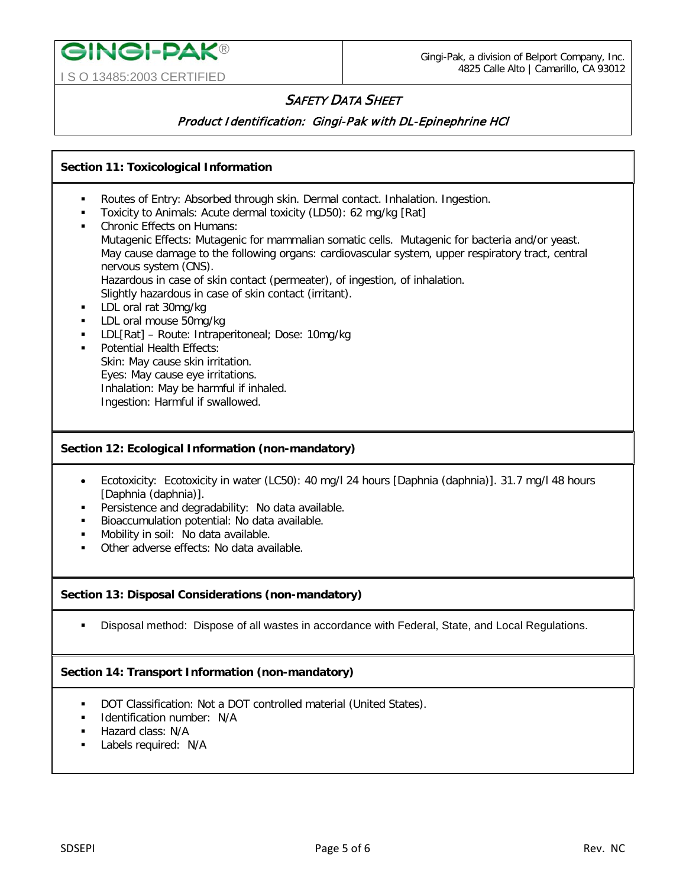

# I S O 13485:2003 CERTIFIED

**GINGI-PAK®** 

# **SAFETY DATA SHEET**

Product Identification: Gingi-Pak with DL-Epinephrine HCl

# **Section 11: Toxicological Information**

- Routes of Entry: Absorbed through skin. Dermal contact. Inhalation. Ingestion.
- Toxicity to Animals: Acute dermal toxicity (LD50): 62 mg/kg [Rat]
- Chronic Effects on Humans: Mutagenic Effects: Mutagenic for mammalian somatic cells. Mutagenic for bacteria and/or yeast. May cause damage to the following organs: cardiovascular system, upper respiratory tract, central nervous system (CNS). Hazardous in case of skin contact (permeater), of ingestion, of inhalation. Slightly hazardous in case of skin contact (irritant).
- LDL oral rat 30mg/kg
- **LDL** oral mouse 50mg/kg
- LDL[Rat] Route: Intraperitoneal; Dose: 10mg/kg
- Potential Health Effects: Skin: May cause skin irritation. Eyes: May cause eye irritations. Inhalation: May be harmful if inhaled. Ingestion: Harmful if swallowed.

## **Section 12: Ecological Information (non-mandatory)**

- Ecotoxicity: Ecotoxicity in water (LC50): 40 mg/l 24 hours [Daphnia (daphnia)]. 31.7 mg/l 48 hours [Daphnia (daphnia)].
- **Persistence and degradability: No data available.**
- **Bioaccumulation potential: No data available.**
- **Mobility in soil: No data available.**
- Other adverse effects: No data available.

# **Section 13: Disposal Considerations (non-mandatory)**

Disposal method: Dispose of all wastes in accordance with Federal, State, and Local Regulations.

# **Section 14: Transport Information (non-mandatory)**

- DOT Classification: Not a DOT controlled material (United States).
- **IDENTIFICATION NUMBER: N/A**
- Hazard class: N/A
- **Labels required: N/A**